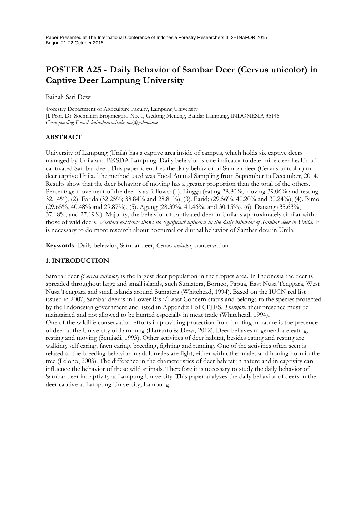Paper Presented at The International Conference of Indonesia Forestry Researchers III 3rd INAFOR 2015 Bogor, 21-22 October 2015

# **POSTER A25 - Daily Behavior of Sambar Deer (Cervus unicolor) in Captive Deer Lampung University**

Bainah Sari Dewi<sup>1</sup>

<sup>1</sup>Forestry Department of Agriculture Faculty, Lampung University Jl. Prof. Dr. Soemantri Brojonegoro No. 1, Gedong Meneng, Bandar Lampung, INDONESIA 35145 *Corresponding Email: bainahsariwicaksono@yahoo.com* 

#### **ABSTRACT**

University of Lampung (Unila) has a captive area inside of campus, which holds six captive deers managed by Unila and BKSDA Lampung. Daily behavior is one indicator to determine deer health of captivated Sambar deer. This paper identifies the daily behavior of Sambar deer (Cervus unicolor) in deer captive Unila. The method used was Focal Animal Sampling from September to December, 2014. Results show that the deer behavior of moving has a greater proportion than the total of the others. Percentage movement of the deer is as follows: (1). Lingga (eating 28.80%, moving 39.06% and resting 32.14%), (2). Farida (32.25%; 38.84% and 28.81%), (3). Farid; (29.56%, 40.20% and 30.24%), (4). Bimo (29.65%, 40.48% and 29.87%), (5). Agung (28.39%, 41.46%, and 30.15%), (6). Danang (35.63%, 37.18%, and 27.19%). Majority, the behavior of captivated deer in Unila is approximately similar with those of wild deers. *Visitors existence shows no significant influence in the daily behavior of Sambar deer in Unila*. It is necessary to do more research about nocturnal or diurnal behavior of Sambar deer in Unila.

**Keywords:** Daily behavior, Sambar deer, *Cervus unicolor,* conservation

## **1. INTRODUCTION**

Sambar deer *(Cervus unicolor)* is the largest deer population in the tropics area. In Indonesia the deer is spreaded throughout large and small islands, such Sumatera, Borneo, Papua, East Nusa Tenggara, West Nusa Tenggara and small islands around Sumatera (Whitehead, 1994). Based on the IUCN red list issued in 2007, Sambar deer is in Lower Risk/Least Concern status and belongs to the species protected by the Indonesian government and listed in Appendix I of CITES. *Therefore,* their presence must be maintained and not allowed to be hunted especially in meat trade (Whitehead, 1994). One of the wildlife conservation efforts in providing protection from hunting in nature is the presence of deer at the University of Lampung (Harianto & Dewi, 2012). Deer behaves in general are eating, resting and moving (Semiadi, 1993). Other activities of deer habitat, besides eating and resting are walking, self caring, fawn caring, breeding, fighting and running. One of the activities often seen is related to the breeding behavior in adult males are fight, either with other males and honing horn in the tree (Lelono, 2003)*.* The difference in the characteristics of deer habitat in nature and in captivity can influence the behavior of these wild animals. Therefore it is necessary to study the daily behavior of Sambar deer in captivity at Lampung University. This paper analyzes the daily behavior of deers in the deer captive at Lampung University, Lampung.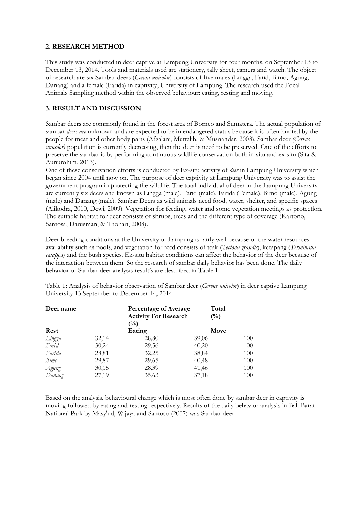## **2. RESEARCH METHOD**

This study was conducted in deer captive at Lampung University for four months, on September 13 to December 13, 2014. Tools and materials used are stationery, tally sheet, camera and watch. The object of research are six Sambar deers (*Cervus unicolor*) consists of five males (Lingga, Farid, Bimo, Agung, Danang) and a female (Farida) in captivity, University of Lampung. The research used the Focal Animals Sampling method within the observed behaviour: eating, resting and moving.

# **3. RESULT AND DISCUSSION**

Sambar deers are commonly found in the forest area of Borneo and Sumatera. The actual population of sambar *deers are* unknown and are expected to be in endangered status because it is often hunted by the people for meat and other body parts (Afzalani, Muttalib, & Musnandar, 2008). Sambar deer *(Cervus unicolor*) population is currently decreasing, then the deer is need to be preserved. One of the efforts to preserve the sambar is by performing continuous wildlife conservation both in-situ and ex-situ (Sita & Aunurohim, 2013).

One of these conservation efforts is conducted by Ex-situ activity of *deer* in Lampung University which began since 2004 until now on. The purpose of deer captivity at Lampung University was to assist the government program in protecting the wildlife. The total individual of deer in the Lampung University are currently six deers and known as Lingga (male), Farid (male), Farida (Female), Bimo (male), Agung (male) and Danang (male). Sambar Deers as wild animals need food, water, shelter, and specific spaces (Alikodra, 2010, Dewi, 2009). Vegetation for feeding, water and some vegetation meetings as protection. The suitable habitat for deer consists of shrubs, trees and the different type of coverage (Kartono, Santosa, Darusman, & Thohari, 2008).

Deer breeding conditions at the University of Lampung is fairly well because of the water resources availability such as pools, and vegetation for feed consists of teak (*Tectona grandis*), ketapang (*Terminalia catappa*) and the bush species. Ek-situ habitat conditions can affect the behavior of the deer because of the interaction between them. So the research of sambar daily behavior has been done. The daily behavior of Sambar deer analysis result's are described in Table 1.

Table 1: Analysis of behavior observation of Sambar deer (*Cervus unicolor*) in deer captive Lampung University 13 September to December 14, 2014

| Deer name |       | <b>Percentage of Average</b><br><b>Activity For Research</b><br>$\binom{0}{0}$ | Total<br>$\binom{0}{0}$ |      |  |
|-----------|-------|--------------------------------------------------------------------------------|-------------------------|------|--|
| Rest      |       | Eating                                                                         |                         | Move |  |
| Lingga    | 32,14 | 28,80                                                                          | 39,06                   | 100  |  |
| Farid     | 30,24 | 29,56                                                                          | 40,20                   | 100  |  |
| Farida    | 28,81 | 32,25                                                                          | 38,84                   | 100  |  |
| Bimo      | 29,87 | 29,65                                                                          | 40,48                   | 100  |  |
| Agung     | 30,15 | 28,39                                                                          | 41,46                   | 100  |  |
| Danang    | 27,19 | 35,63                                                                          | 37,18                   | 100  |  |

Based on the analysis, behavioural change which is most often done by sambar deer in captivity is moving followed by eating and resting respectively. Results of the daily behavior analysis in Bali Barat National Park by Masy'ud, Wijaya and Santoso (2007) was Sambar deer.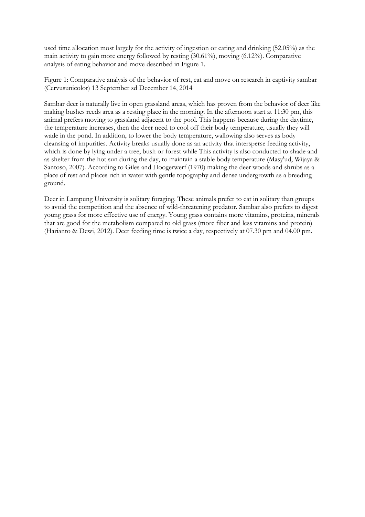used time allocation most largely for the activity of ingestion or eating and drinking (52.05%) as the main activity to gain more energy followed by resting (30.61%), moving (6.12%). Comparative analysis of eating behavior and move described in Figure 1.

Figure 1: Comparative analysis of the behavior of rest, eat and move on research in captivity sambar (Cervusunicolor) 13 September sd December 14, 2014

Sambar deer is naturally live in open grassland areas, which has proven from the behavior of deer like making bushes reeds area as a resting place in the morning. In the afternoon start at 11:30 pm, this animal prefers moving to grassland adjacent to the pool. This happens because during the daytime, the temperature increases, then the deer need to cool off their body temperature, usually they will wade in the pond. In addition, to lower the body temperature, wallowing also serves as body cleansing of impurities. Activity breaks usually done as an activity that intersperse feeding activity, which is done by lying under a tree, bush or forest while This activity is also conducted to shade and as shelter from the hot sun during the day, to maintain a stable body temperature (Masy'ud, Wijaya & Santoso, 2007). According to Giles and Hoogerwerf (1970) making the deer woods and shrubs as a place of rest and places rich in water with gentle topography and dense undergrowth as a breeding ground.

Deer in Lampung University is solitary foraging. These animals prefer to eat in solitary than groups to avoid the competition and the absence of wild-threatening predator. Sambar also prefers to digest young grass for more effective use of energy. Young grass contains more vitamins, proteins, minerals that are good for the metabolism compared to old grass (more fiber and less vitamins and protein) (Harianto & Dewi, 2012). Deer feeding time is twice a day, respectively at 07.30 pm and 04.00 pm.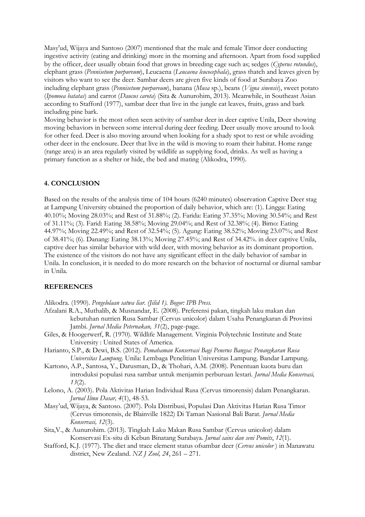Masy'ud, Wijaya and Santoso (2007) mentioned that the male and female Timor deer conducting ingestive activity (eating and drinking) more in the morning and afternoon. Apart from food supplied by the officer, deer usually obtain food that grows in breeding cage such as; sedges (*Cyperus rotundus*), elephant grass (*Pennisetum purpureum*), Leucaena (*Leucaena leucocephala*), grass thatch and leaves given by visitors who want to see the deer. Sambar deers are given five kinds of food at Surabaya Zoo including elephant grass (*Pennisetum purpureum*), banana (*Musa* sp.), beans (*Vigna sinensis*), sweet potato (*Ipomoea batatas*) and carrot (*Daucus carota*) (Sita & Aunurohim, 2013). Meanwhile, in Southeast Asian according to Stafford (1977), sambar deer that live in the jungle eat leaves, fruits, grass and bark including pine bark.

Moving behavior is the most often seen activity of sambar deer in deer captive Unila, Deer showing moving behaviors in between some interval during deer feeding. Deer usually move around to look for other feed. Deer is also moving around when looking for a shady spot to rest or while avoiding other deer in the enclosure. Deer that live in the wild is moving to roam their habitat. Home range (range area) is an area regularly visited by wildlife as supplying food, drinks. As well as having a primary function as a shelter or hide, the bed and mating (Alikodra, 1990).

#### **4. CONCLUSION**

Based on the results of the analysis time of 104 hours (6240 minutes) observation Captive Deer stag at Lampung University obtained the proportion of daily behavior, which are: (1). Lingga: Eating 40.10%; Moving 28.03%; and Rest of 31.88%; (2). Farida: Eating 37.35%; Moving 30.54%; and Rest of 31.11%; (3). Farid: Eating 38.58%; Moving 29.04%; and Rest of 32.38%; (4). Bimo: Eating 44.97%; Moving 22.49%; and Rest of 32.54%; (5). Agung: Eating 38.52%; Moving 23.07%; and Rest of 38.41%; (6). Danang: Eating 38.13%; Moving 27.45%; and Rest of 34.42%. in deer captive Unila, captive deer has similar behavior with wild deer, with moving behavior as its dominant proportion. The existence of the visitors do not have any significant effect in the daily behavior of sambar in Unila. In conclusion, it is needed to do more research on the behavior of nocturnal or diurnal sambar in Unila*.* 

#### **REFERENCES**

Alikodra. (1990). *Pengelolaan satwa liar. (Jilid 1). Bogor: IPB Press.* 

- Afzalani R.A., Muthalib, & Musnandar, E. (2008). Preferensi pakan, tingkah laku makan dan kebutuhan nutrien Rusa Sambar (Cervus unicolor) dalam Usaha Penangkaran di Provinsi Jambi. *Jurnal Media Peternakan, 31*(2), page-page*.*
- Giles, & Hoogerwerf, R. (1970). Wildlife Management*.* Virginia Polytechnic Institute and State University : United States of America.
- Harianto, S.P., & Dewi, B.S. (2012)*. Pemahaman Konservasi Bagi Penerus Bangsa: Penangkaran Rusa Universitas Lampung*. Unila: Lembaga Penelitian Universitas Lampung. Bandar Lampung.
- Kartono, A.P., Santosa, Y., Darusman, D., & Thohari, A.M. (2008)*.* Penentuan kuota buru dan introduksi populasi rusa sambar untuk menjamin perburuan lestari. *Jurnal Media Konservasi, 13*(2).
- Lelono, A. (2003). Pola Aktivitas Harian Individual Rusa (Cervus timorensis) dalam Penangkaran. *Jurnal Ilmu Dasar, 4*(1), 48-53*.*
- Masy'ud, Wijaya, & Santoso. (2007). Pola Distribusi, Populasi Dan Aktivitas Harian Rusa Timor (Cervus timorensis, de Blainville 1822) Di Taman Nasional Bali Barat. *Jurnal Media Konservasi, 12*(3)*.*
- Sita,V., & Aunurohim. (2013). Tingkah Laku Makan Rusa Sambar (Cervus unicolor) dalam Konservasi Ex-situ di Kebun Binatang Surabaya. *Jurnal sains dan seni Pomits*, *12*(1).
- Stafford, K.J. (1977). The diet and trace element status ofsambar deer (*Cervus unicolor* ) in Manawatu district, New Zealand. *NZ J Zool, 24*, 261 – 271.